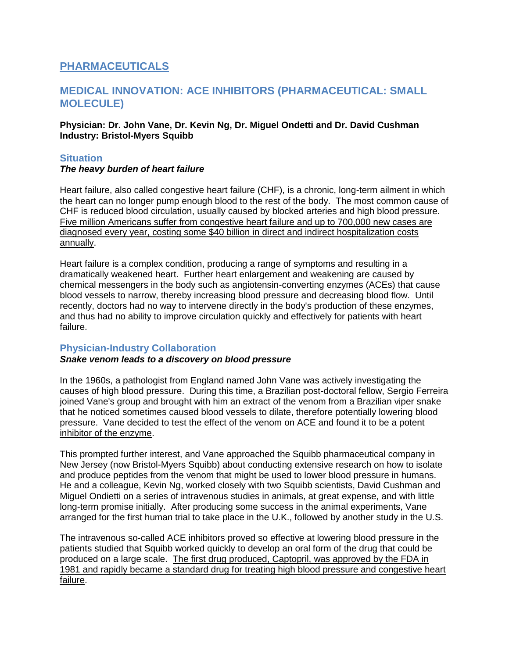# **PHARMACEUTICALS**

## **MEDICAL INNOVATION: ACE INHIBITORS (PHARMACEUTICAL: SMALL MOLECULE)**

#### **Physician: Dr. John Vane, Dr. Kevin Ng, Dr. Miguel Ondetti and Dr. David Cushman Industry: Bristol-Myers Squibb**

## **Situation**

#### *The heavy burden of heart failure*

Heart failure, also called congestive heart failure (CHF), is a chronic, long-term ailment in which the heart can no longer pump enough blood to the rest of the body. The most common cause of CHF is reduced blood circulation, usually caused by blocked arteries and high blood pressure. Five million Americans suffer from congestive heart failure and up to 700,000 new cases are diagnosed every year, costing some \$40 billion in direct and indirect hospitalization costs annually.

Heart failure is a complex condition, producing a range of symptoms and resulting in a dramatically weakened heart. Further heart enlargement and weakening are caused by chemical messengers in the body such as angiotensin-converting enzymes (ACEs) that cause blood vessels to narrow, thereby increasing blood pressure and decreasing blood flow. Until recently, doctors had no way to intervene directly in the body's production of these enzymes, and thus had no ability to improve circulation quickly and effectively for patients with heart failure.

## **Physician-Industry Collaboration**

## *Snake venom leads to a discovery on blood pressure*

In the 1960s, a pathologist from England named John Vane was actively investigating the causes of high blood pressure. During this time, a Brazilian post-doctoral fellow, Sergio Ferreira joined Vane's group and brought with him an extract of the venom from a Brazilian viper snake that he noticed sometimes caused blood vessels to dilate, therefore potentially lowering blood pressure. Vane decided to test the effect of the venom on ACE and found it to be a potent inhibitor of the enzyme.

This prompted further interest, and Vane approached the Squibb pharmaceutical company in New Jersey (now Bristol-Myers Squibb) about conducting extensive research on how to isolate and produce peptides from the venom that might be used to lower blood pressure in humans. He and a colleague, Kevin Ng, worked closely with two Squibb scientists, David Cushman and Miguel Ondietti on a series of intravenous studies in animals, at great expense, and with little long-term promise initially. After producing some success in the animal experiments, Vane arranged for the first human trial to take place in the U.K., followed by another study in the U.S.

The intravenous so-called ACE inhibitors proved so effective at lowering blood pressure in the patients studied that Squibb worked quickly to develop an oral form of the drug that could be produced on a large scale. The first drug produced, Captopril, was approved by the FDA in 1981 and rapidly became a standard drug for treating high blood pressure and congestive heart failure.